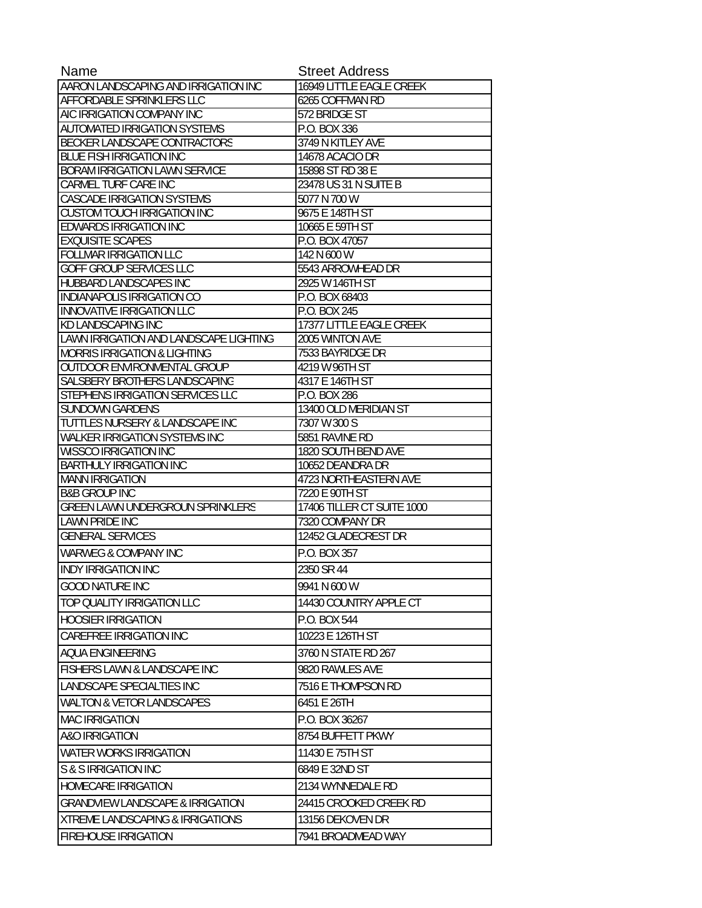| Name                                                          | <b>Street Address</b>          |
|---------------------------------------------------------------|--------------------------------|
| AARON LANDSCAPING AND IRRIGATION INC                          | 16949 LITTLE EAGLE CREEK       |
| AFFORDABLE SPRINKLERS LLC                                     | 6265 COFFMAN RD                |
| AIC IRRIGATION COMPANY INC                                    | 572 BRIDGE ST                  |
| <b>AUTOMATED IRRIGATION SYSTEMS</b>                           | P.O. BOX 336                   |
| BECKER LANDSCAPE CONTRACTORS                                  | 3749 N KITLEY AVE              |
| <b>BLUE FISH IRRIGATION INC</b>                               | 14678 ACACIO DR                |
| <b>BORAM IRRIGATION LAWN SERVICE</b>                          | 15898 ST RD 38 E               |
| <b>CARMEL TURF CARE INC</b>                                   | 23478 US 31 N SUITE B          |
| CASCADE IRRIGATION SYSTEMS                                    | 5077 N 700 W                   |
| <b>CUSTOM TOUCH IRRIGATION INC</b>                            | 9675 E 148TH ST                |
| <b>EDWARDS IRRIGATION INC</b>                                 | 10665 E 59TH ST                |
| <b>EXQUISITE SCAPES</b>                                       | P.O. BOX 47057                 |
| <b>FOLLMAR IRRIGATION LLC</b>                                 | 142 N 600 W                    |
| GOFF GROUP SERVICES LLC                                       | 5543 ARROWHEAD DR              |
| HUBBARD LANDSCAPES INC                                        | 2925 W 146TH ST                |
| INDIANAPOLIS IRRIGATION CO                                    | P.O. BOX 68403                 |
| <b>INNOVATIVE IRRIGATION LLC</b>                              | P.O. BOX 245                   |
| <b>KD LANDSCAPING INC</b>                                     | 17377 LITTLE EAGLE CREEK       |
| LAWN IRRIGATION AND LANDSCAPE LIGHTING                        | 2005 WINTON AVE                |
| <b>MORRIS IRRIGATION &amp; LIGHTING</b>                       | 7533 BAYRIDGE DR               |
| OUTDOOR ENVIRONMENTAL GROUP                                   | 4219 W 96TH ST                 |
| SALSBERY BROTHERS LANDSCAPING                                 | 4317 E 146TH ST                |
| STEPHENS IRRIGATION SERVICES LLC                              | P.O. BOX 286                   |
| <b>SUNDOWN GARDENS</b>                                        | 13400 OLD MERIDIAN ST          |
| TUTTLES NURSERY & LANDSCAPE INC                               | 7307 W 300 S<br>5851 RAVINE RD |
| WALKER IRRIGATION SYSTEMS INC<br><b>WISSCO IRRIGATION INC</b> | 1820 SOUTH BEND AVE            |
| <b>BARTHULY IRRIGATION INC</b>                                | 10652 DEANDRA DR               |
| <b>MANN IRRIGATION</b>                                        | 4723 NORTHEASTERN AVE          |
| <b>B&amp;B GROUP INC</b>                                      | 7220 E 90TH ST                 |
| <b>GREEN LAWN UNDERGROUN SPRINKLERS</b>                       | 17406 TILLER CT SUITE 1000     |
| <b>LAWN PRIDE INC</b>                                         | 7320 COMPANY DR                |
| <b>GENERAL SERVICES</b>                                       | 12452 GLADECREST DR            |
| <b>WARWEG &amp; COMPANY INC</b>                               | P.O. BOX 357                   |
| <b>INDY IRRIGATION INC</b>                                    | 2350 SR 44                     |
| <b>GOOD NATURE INC</b>                                        | 9941 N 600 W                   |
| TOP QUALITY IRRIGATION LLC                                    | 14430 COUNTRY APPLE CT         |
| <b>HOOSIER IRRIGATION</b>                                     | P.O. BOX 544                   |
| <b>CAREFREE IRRIGATION INC</b>                                | 10223 E 126TH ST               |
| AQUA ENGINEERING                                              | 3760 N STATE RD 267            |
| <b>FISHERS LAWN &amp; LANDSCAPE INC</b>                       | 9820 RAWLES AVE                |
| LANDSCAPE SPECIALTIES INC                                     | 7516 E THOMPSON RD             |
| <b>WALTON &amp; VETOR LANDSCAPES</b>                          | 6451 E 26TH                    |
| <b>MAC IRRIGATION</b>                                         | P.O. BOX 36267                 |
| <b>A&amp;O IRRIGATION</b>                                     | 8754 BUFFETT PKWY              |
| <b>WATER WORKS IRRIGATION</b>                                 | 11430 E 75TH ST                |
| S & S IRRIGATION INC                                          | 6849 E 32ND ST                 |
| <b>HOMECARE IRRIGATION</b>                                    | 2134 WYNNEDALE RD              |
| <b>GRANDVIEW LANDSCAPE &amp; IRRIGATION</b>                   | 24415 CROOKED CREEK RD         |
|                                                               |                                |
| <b>XTREME LANDSCAPING &amp; IRRIGATIONS</b>                   | 13156 DEKOVEN DR               |
| <b>FIREHOUSE IRRIGATION</b>                                   | 7941 BROADMEAD WAY             |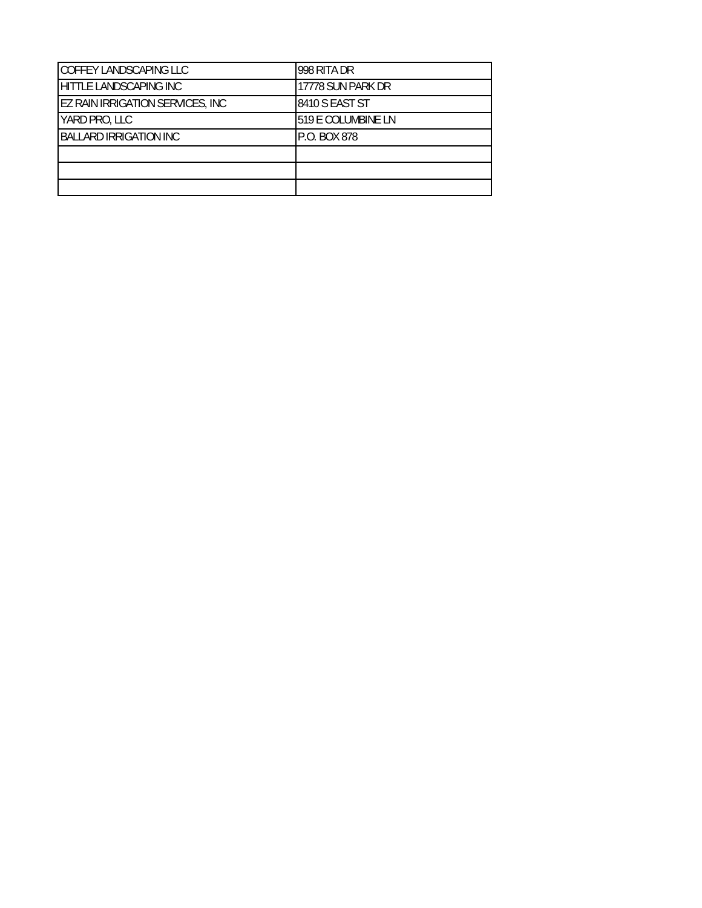| COFFEY LANDSCAPING LLC                  | 998 RITA DR        |
|-----------------------------------------|--------------------|
| HITTLE LANDSCAPING INC                  | 17778 SUN PARK DR  |
| <b>EZ RAIN IRRIGATION SERVICES, INC</b> | 8410 S EAST ST     |
| YARD PRO, LLC                           | 519 E COLUMBINE LN |
| <b>BALLARD IRRIGATION INC</b>           | P.O. BOX 878       |
|                                         |                    |
|                                         |                    |
|                                         |                    |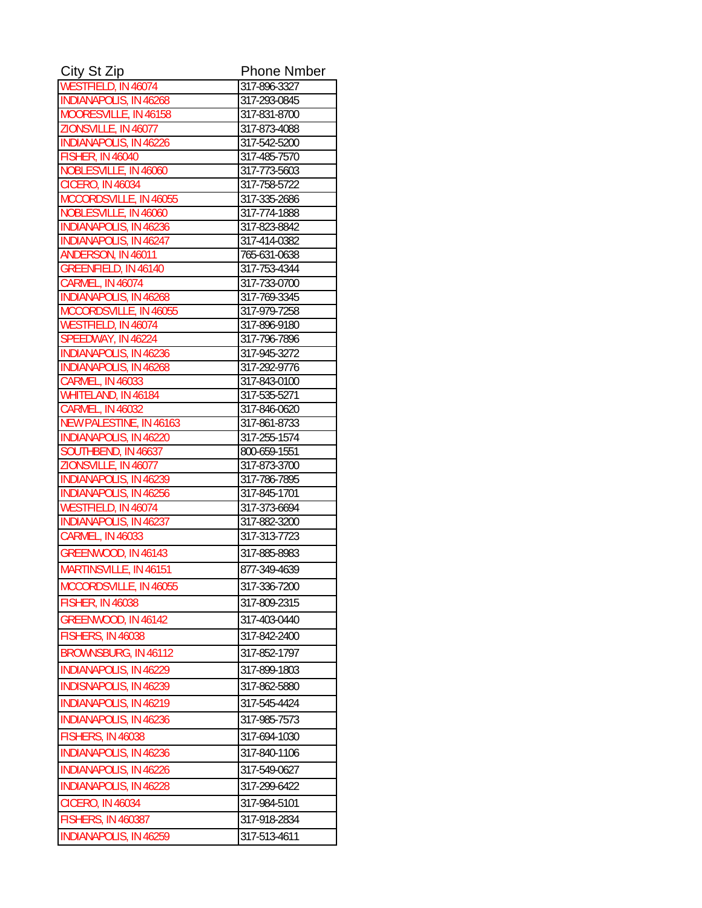| City St Zip                                        | <b>Phone Nmber</b>           |
|----------------------------------------------------|------------------------------|
| WESTFIELD, IN 46074                                | 317-896-3327                 |
| <b>INDIANAPOLIS, IN 46268</b>                      | 317-293-0845                 |
| MOORESVILLE, IN 46158                              | 317-831-8700                 |
| ZIONSVILLE, IN 46077                               | 317-873-4088                 |
| <b>INDIANAPOLIS, IN 46226</b>                      | 317-542-5200                 |
| <b>FISHER, IN 46040</b>                            | 317-485-7570                 |
| NOBLESVILLE, IN 46060                              | 317-773-5603                 |
| <b>CICERO, IN 46034</b>                            | 317-758-5722                 |
| MCCORDSVILLE, IN 46055<br>NOBLESVILLE, IN 46060    | 317-335-2686                 |
| <b>INDIANAPOLIS, IN 46236</b>                      | 317-774-1888<br>317-823-8842 |
| <b>INDIANAPOLIS, IN 46247</b>                      | 317-414-0382                 |
| ANDERSON, IN 46011                                 | 765-631-0638                 |
| GREENFIELD, IN 46140                               | 317-753-4344                 |
| <b>CARMEL, IN 46074</b>                            | 317-733-0700                 |
| <b>INDIANAPOLIS, IN 46268</b>                      | 317-769-3345                 |
| MCCORDSVILLE, IN 46055                             | 317-979-7258                 |
| WESTFIELD, IN 46074                                | 317-896-9180                 |
| SPEEDWAY, IN 46224                                 | 317-796-7896                 |
| <b>INDIANAPOLIS, IN 46236</b>                      | 317-945-3272                 |
| <b>INDIANAPOLIS, IN 46268</b>                      | 317-292-9776                 |
| <b>CARMEL, IN 46033</b>                            | 317-843-0100                 |
| WHITELAND, IN 46184                                | 317-535-5271                 |
| <b>CARMEL, IN 46032</b><br>NEW PALESTINE, IN 46163 | 317-846-0620<br>317-861-8733 |
| <b>INDIANAPOLIS, IN 46220</b>                      | 317-255-1574                 |
| SOUTHBEND, IN 46637                                | 800-659-1551                 |
| ZIONSVILLE, IN 46077                               | 317-873-3700                 |
| <b>INDIANAPOLIS, IN 46239</b>                      | 317-786-7895                 |
| <b>INDIANAPOLIS, IN 46256</b>                      | 317-845-1701                 |
| <b>WESTFIELD, IN 46074</b>                         | 317-373-6694                 |
| <b>INDIANAPOLIS, IN 46237</b>                      | 317-882-3200                 |
| <b>CARMEL, IN 46033</b>                            | 317-313-7723                 |
| GREENWOOD, IN 46143                                | 317-885-8983                 |
| MARTINSVILLE, IN 46151                             | 877-349-4639                 |
| MCCORDSVILLE, IN 46055                             | 317-336-7200                 |
| <b>FISHER, IN 46038</b>                            | 317-809-2315                 |
| GREENWOOD, IN 46142                                | 317-403-0440                 |
| FISHERS, IN 46038                                  | 317-842-2400                 |
| BROWNSBURG, IN 46112                               | 317-852-1797                 |
|                                                    |                              |
| <b>INDIANAPOLIS, IN 46229</b>                      | 317-899-1803                 |
| <b>INDISNAPOLIS, IN 46239</b>                      | 317-862-5880                 |
| <b>INDIANAPOLIS, IN 46219</b>                      | 317-545-4424                 |
| INDIANAPOLIS, IN 46236                             | 317-985-7573                 |
| FISHERS, IN 46038                                  | 317-694-1030                 |
| <b>INDIANAPOLIS, IN 46236</b>                      | 317-840-1106                 |
| <b>INDIANAPOLIS, IN 46226</b>                      | 317-549-0627                 |
| <b>INDIANAPOLIS, IN 46228</b>                      | 317-299-6422                 |
| <b>CICERO, IN 46034</b>                            | 317-984-5101                 |
| <b>FISHERS, IN 460387</b>                          | 317-918-2834                 |
|                                                    |                              |
| <b>INDIANAPOLIS, IN 46259</b>                      | 317-513-4611                 |